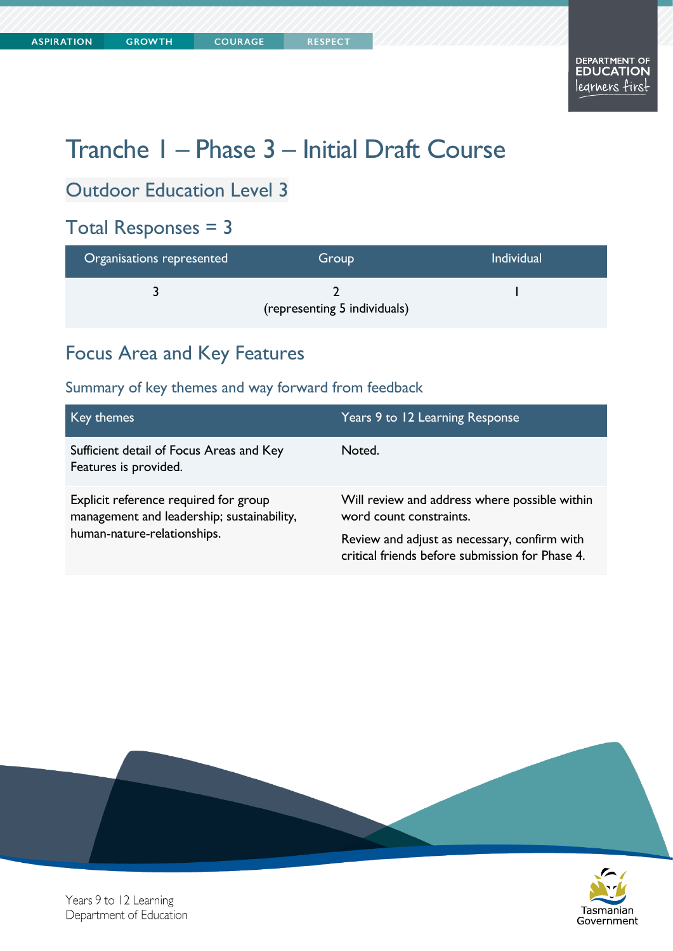**COURAGE** 

# Tranche 1 – Phase 3 – Initial Draft Course

# Outdoor Education Level 3

#### Total Responses = 3

| Organisations represented | Group                        | <b>Individual</b> |
|---------------------------|------------------------------|-------------------|
|                           | (representing 5 individuals) |                   |

#### Focus Area and Key Features

#### Summary of key themes and way forward from feedback

| Key themes                                                                                                         | Years 9 to 12 Learning Response                                                                 |
|--------------------------------------------------------------------------------------------------------------------|-------------------------------------------------------------------------------------------------|
| Sufficient detail of Focus Areas and Key<br>Features is provided.                                                  | Noted.                                                                                          |
| Explicit reference required for group<br>management and leadership; sustainability,<br>human-nature-relationships. | Will review and address where possible within<br>word count constraints.                        |
|                                                                                                                    | Review and adjust as necessary, confirm with<br>critical friends before submission for Phase 4. |





Years 9 to 12 Learning Department of Education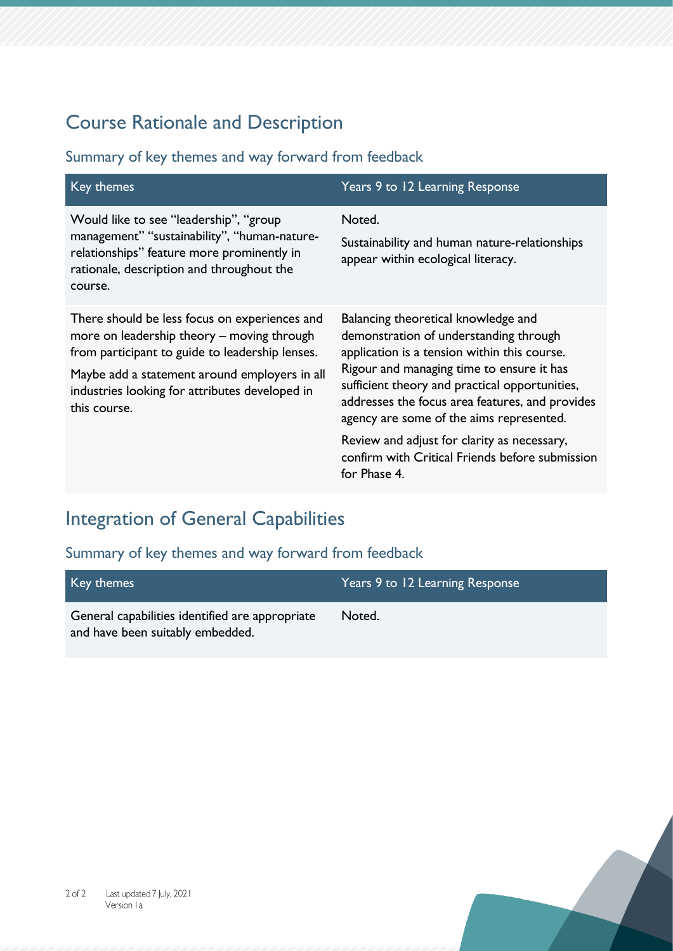### Course Rationale and Description

#### Summary of key themes and way forward from feedback

| Key themes                                                                                                                                                                                                                                                        | Years 9 to 12 Learning Response                                                                                                                                                                                                                                                                                                                                                                                                               |
|-------------------------------------------------------------------------------------------------------------------------------------------------------------------------------------------------------------------------------------------------------------------|-----------------------------------------------------------------------------------------------------------------------------------------------------------------------------------------------------------------------------------------------------------------------------------------------------------------------------------------------------------------------------------------------------------------------------------------------|
| Would like to see "leadership", "group<br>management" "sustainability", "human-nature-<br>relationships" feature more prominently in<br>rationale, description and throughout the<br>course.                                                                      | Noted.<br>Sustainability and human nature-relationships<br>appear within ecological literacy.                                                                                                                                                                                                                                                                                                                                                 |
| There should be less focus on experiences and<br>more on leadership theory – moving through<br>from participant to guide to leadership lenses.<br>Maybe add a statement around employers in all<br>industries looking for attributes developed in<br>this course. | Balancing theoretical knowledge and<br>demonstration of understanding through<br>application is a tension within this course.<br>Rigour and managing time to ensure it has<br>sufficient theory and practical opportunities,<br>addresses the focus area features, and provides<br>agency are some of the aims represented.<br>Review and adjust for clarity as necessary,<br>confirm with Critical Friends before submission<br>for Phase 4. |

# Integration of General Capabilities

| Key themes                                      | Years 9 to 12 Learning Response |
|-------------------------------------------------|---------------------------------|
| General capabilities identified are appropriate | Noted.                          |
| and have been suitably embedded.                |                                 |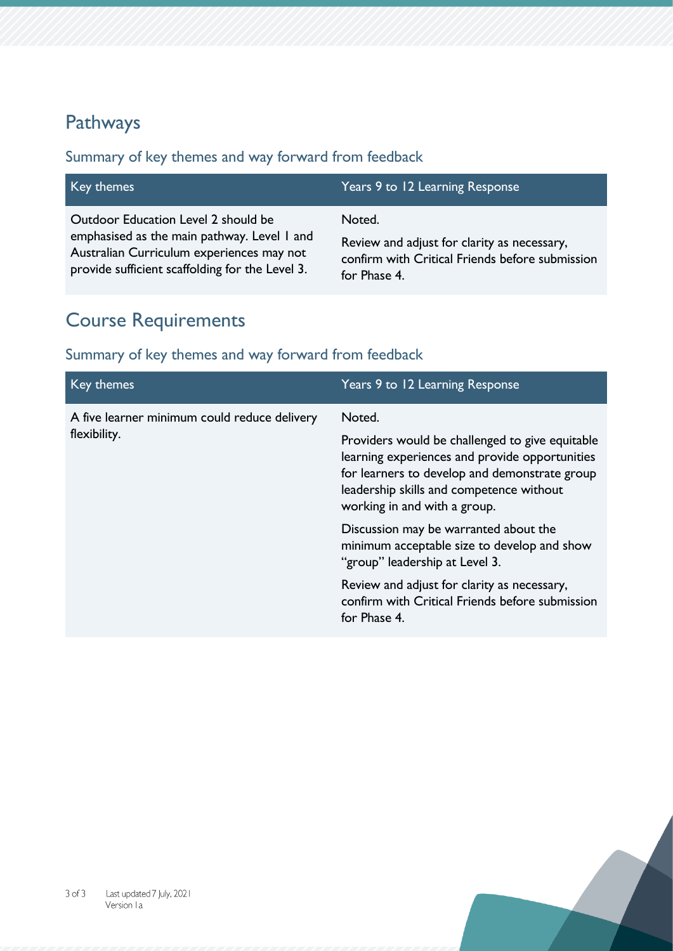### Pathways

#### Summary of key themes and way forward from feedback

| Key themes                                      | Years 9 to 12 Learning Response                 |
|-------------------------------------------------|-------------------------------------------------|
| Outdoor Education Level 2 should be             | Noted.                                          |
| emphasised as the main pathway. Level I and     | Review and adjust for clarity as necessary,     |
| Australian Curriculum experiences may not       | confirm with Critical Friends before submission |
| provide sufficient scaffolding for the Level 3. | for Phase 4.                                    |

# Course Requirements

| Key themes                                                   | Years 9 to 12 Learning Response                                                                                                                                                                                                                                                                                                                                                                                                                                                      |
|--------------------------------------------------------------|--------------------------------------------------------------------------------------------------------------------------------------------------------------------------------------------------------------------------------------------------------------------------------------------------------------------------------------------------------------------------------------------------------------------------------------------------------------------------------------|
| A five learner minimum could reduce delivery<br>flexibility. | Noted.<br>Providers would be challenged to give equitable<br>learning experiences and provide opportunities<br>for learners to develop and demonstrate group<br>leadership skills and competence without<br>working in and with a group.<br>Discussion may be warranted about the<br>minimum acceptable size to develop and show<br>"group" leadership at Level 3.<br>Review and adjust for clarity as necessary,<br>confirm with Critical Friends before submission<br>for Phase 4. |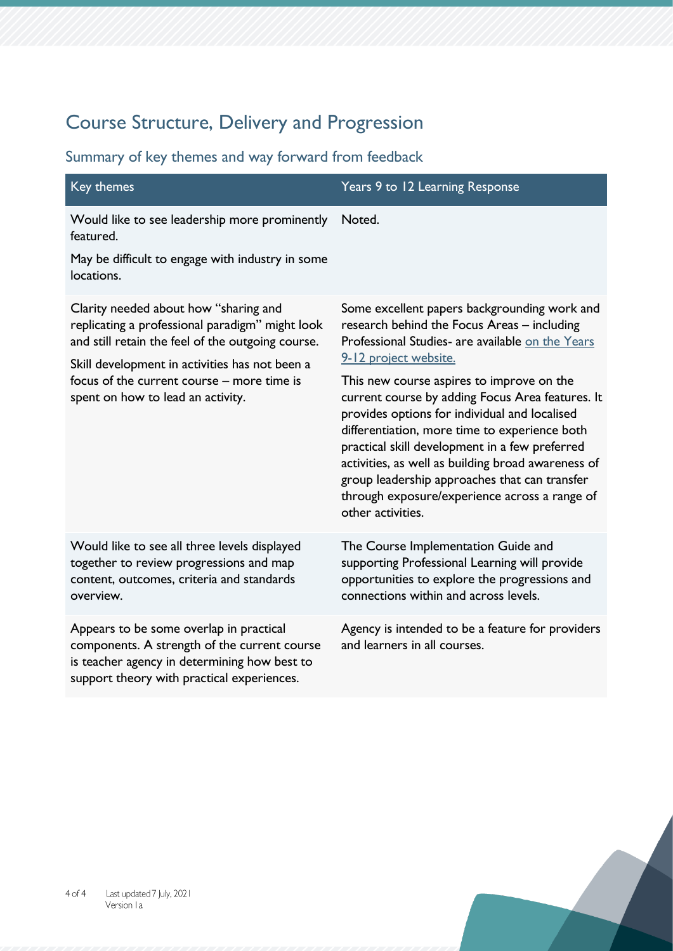## Course Structure, Delivery and Progression

#### Summary of key themes and way forward from feedback

| Key themes                                                                                                                                                                                                                                                                         | Years 9 to 12 Learning Response                                                                                                                                                                                                                                                                                                                                                                                                                                                                                                                                                                            |
|------------------------------------------------------------------------------------------------------------------------------------------------------------------------------------------------------------------------------------------------------------------------------------|------------------------------------------------------------------------------------------------------------------------------------------------------------------------------------------------------------------------------------------------------------------------------------------------------------------------------------------------------------------------------------------------------------------------------------------------------------------------------------------------------------------------------------------------------------------------------------------------------------|
| Would like to see leadership more prominently<br>featured.<br>May be difficult to engage with industry in some<br>locations.                                                                                                                                                       | Noted.                                                                                                                                                                                                                                                                                                                                                                                                                                                                                                                                                                                                     |
| Clarity needed about how "sharing and<br>replicating a professional paradigm" might look<br>and still retain the feel of the outgoing course.<br>Skill development in activities has not been a<br>focus of the current course - more time is<br>spent on how to lead an activity. | Some excellent papers backgrounding work and<br>research behind the Focus Areas - including<br>Professional Studies- are available on the Years<br>9-12 project website.<br>This new course aspires to improve on the<br>current course by adding Focus Area features. It<br>provides options for individual and localised<br>differentiation, more time to experience both<br>practical skill development in a few preferred<br>activities, as well as building broad awareness of<br>group leadership approaches that can transfer<br>through exposure/experience across a range of<br>other activities. |
| Would like to see all three levels displayed<br>together to review progressions and map<br>content, outcomes, criteria and standards<br>overview.                                                                                                                                  | The Course Implementation Guide and<br>supporting Professional Learning will provide<br>opportunities to explore the progressions and<br>connections within and across levels.                                                                                                                                                                                                                                                                                                                                                                                                                             |
| Appears to be some overlap in practical<br>components. A strength of the current course<br>is teacher agency in determining how best to                                                                                                                                            | Agency is intended to be a feature for providers<br>and learners in all courses.                                                                                                                                                                                                                                                                                                                                                                                                                                                                                                                           |

support theory with practical experiences.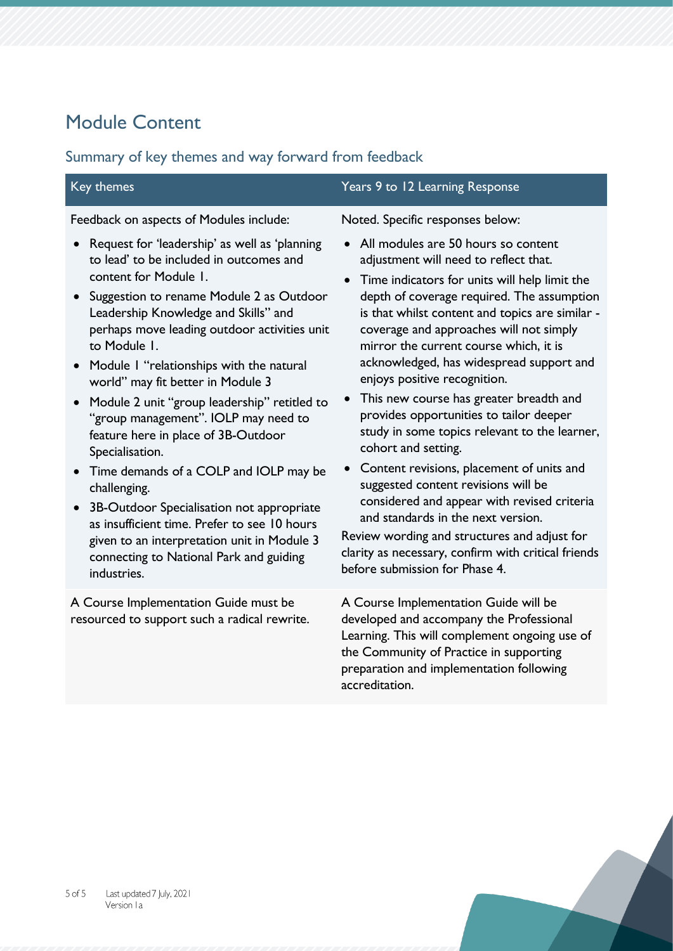# Module Content

#### Summary of key themes and way forward from feedback

| Key themes                                                                                                                                                                                                                                                                                                    | Years 9 to 12 Learning Response                                                                                                                                                                                                                                                                                            |
|---------------------------------------------------------------------------------------------------------------------------------------------------------------------------------------------------------------------------------------------------------------------------------------------------------------|----------------------------------------------------------------------------------------------------------------------------------------------------------------------------------------------------------------------------------------------------------------------------------------------------------------------------|
| Feedback on aspects of Modules include:<br>Request for 'leadership' as well as 'planning<br>to lead' to be included in outcomes and<br>content for Module 1.<br>Suggestion to rename Module 2 as Outdoor<br>$\bullet$<br>Leadership Knowledge and Skills" and<br>perhaps move leading outdoor activities unit | Noted. Specific responses below:<br>All modules are 50 hours so content<br>adjustment will need to reflect that.<br>Time indicators for units will help limit the<br>$\bullet$<br>depth of coverage required. The assumption<br>is that whilst content and topics are similar -<br>coverage and approaches will not simply |
| to Module 1.<br>• Module I "relationships with the natural<br>world" may fit better in Module 3<br>• Module 2 unit "group leadership" retitled to<br>"group management". IOLP may need to<br>feature here in place of 3B-Outdoor<br>Specialisation.                                                           | mirror the current course which, it is<br>acknowledged, has widespread support and<br>enjoys positive recognition.<br>This new course has greater breadth and<br>$\bullet$<br>provides opportunities to tailor deeper<br>study in some topics relevant to the learner,<br>cohort and setting.                              |
| Time demands of a COLP and IOLP may be<br>$\bullet$<br>challenging.<br>3B-Outdoor Specialisation not appropriate<br>$\bullet$<br>as insufficient time. Prefer to see 10 hours<br>given to an interpretation unit in Module 3<br>connecting to National Park and guiding<br>industries.                        | Content revisions, placement of units and<br>suggested content revisions will be<br>considered and appear with revised criteria<br>and standards in the next version.<br>Review wording and structures and adjust for<br>clarity as necessary, confirm with critical friends<br>before submission for Phase 4.             |
| A Course Implementation Guide must be<br>resourced to support such a radical rewrite.                                                                                                                                                                                                                         | A Course Implementation Guide will be<br>developed and accompany the Professional                                                                                                                                                                                                                                          |

developed and accompany the Professional Learning. This will complement ongoing use of the Community of Practice in supporting preparation and implementation following accreditation.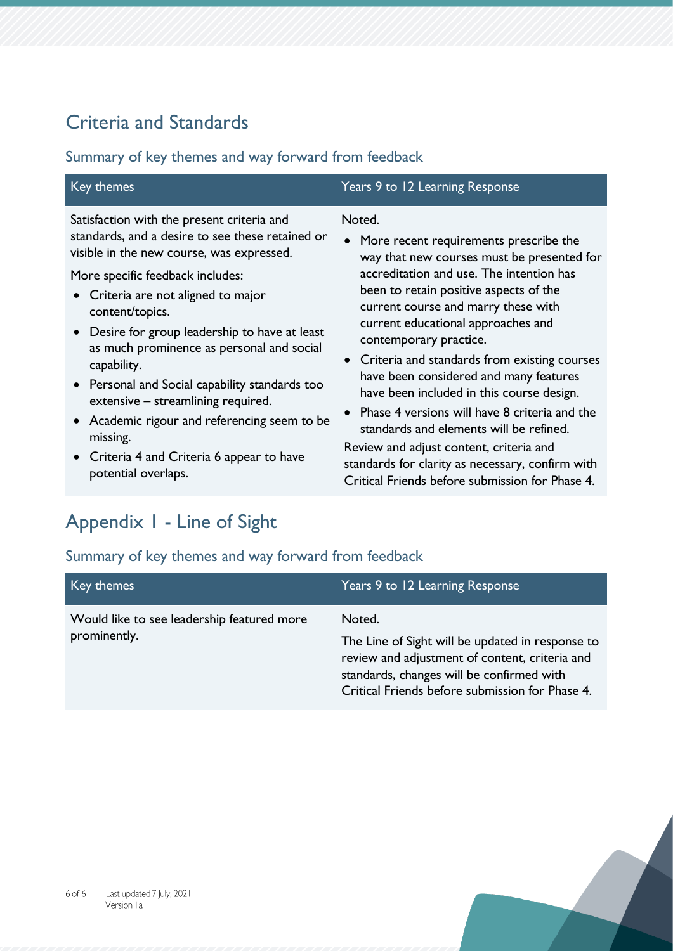### Criteria and Standards

#### Summary of key themes and way forward from feedback

| Key themes                                                                                                                    | Years 9 to 12 Learning Response                                                                                                                                                                                                            |
|-------------------------------------------------------------------------------------------------------------------------------|--------------------------------------------------------------------------------------------------------------------------------------------------------------------------------------------------------------------------------------------|
| Satisfaction with the present criteria and                                                                                    | Noted.                                                                                                                                                                                                                                     |
| standards, and a desire to see these retained or                                                                              | • More recent requirements prescribe the                                                                                                                                                                                                   |
| visible in the new course, was expressed.                                                                                     | way that new courses must be presented for                                                                                                                                                                                                 |
| More specific feedback includes:                                                                                              | accreditation and use. The intention has                                                                                                                                                                                                   |
| • Criteria are not aligned to major                                                                                           | been to retain positive aspects of the                                                                                                                                                                                                     |
| content/topics.                                                                                                               | current course and marry these with                                                                                                                                                                                                        |
| Desire for group leadership to have at least                                                                                  | current educational approaches and                                                                                                                                                                                                         |
| as much prominence as personal and social                                                                                     | contemporary practice.                                                                                                                                                                                                                     |
| capability.                                                                                                                   | • Criteria and standards from existing courses                                                                                                                                                                                             |
| • Personal and Social capability standards too                                                                                | have been considered and many features                                                                                                                                                                                                     |
| extensive - streamlining required.                                                                                            | have been included in this course design.                                                                                                                                                                                                  |
| • Academic rigour and referencing seem to be<br>missing.<br>• Criteria 4 and Criteria 6 appear to have<br>potential overlaps. | Phase 4 versions will have 8 criteria and the<br>standards and elements will be refined.<br>Review and adjust content, criteria and<br>standards for clarity as necessary, confirm with<br>Critical Friends before submission for Phase 4. |

# Appendix 1 - Line of Sight

| Key themes                                 | Years 9 to 12 Learning Response                                                                                                                                                                    |
|--------------------------------------------|----------------------------------------------------------------------------------------------------------------------------------------------------------------------------------------------------|
| Would like to see leadership featured more | Noted.                                                                                                                                                                                             |
| prominently.                               | The Line of Sight will be updated in response to<br>review and adjustment of content, criteria and<br>standards, changes will be confirmed with<br>Critical Friends before submission for Phase 4. |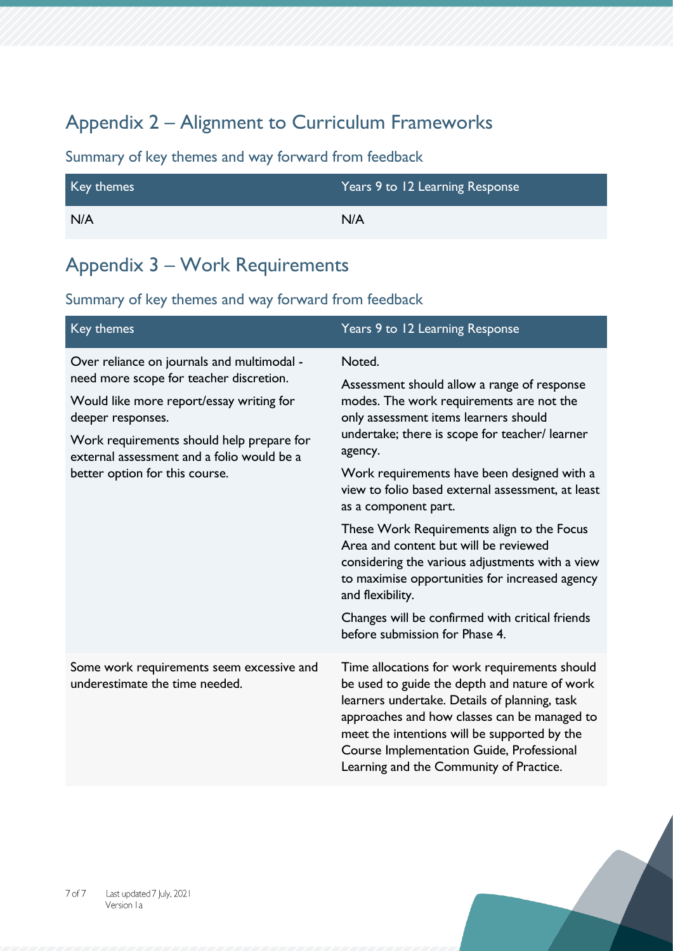### Appendix 2 – Alignment to Curriculum Frameworks

Summary of key themes and way forward from feedback

| Key themes | Years 9 to 12 Learning Response |
|------------|---------------------------------|
| N/A        | N/A                             |

#### Appendix 3 – Work Requirements

| Key themes                                                                                                                                                                                                                                                                          | Years 9 to 12 Learning Response                                                                                                                                                                                                                                                                                                                                                                                                                                                                                                                                                                                                          |
|-------------------------------------------------------------------------------------------------------------------------------------------------------------------------------------------------------------------------------------------------------------------------------------|------------------------------------------------------------------------------------------------------------------------------------------------------------------------------------------------------------------------------------------------------------------------------------------------------------------------------------------------------------------------------------------------------------------------------------------------------------------------------------------------------------------------------------------------------------------------------------------------------------------------------------------|
| Over reliance on journals and multimodal -<br>need more scope for teacher discretion.<br>Would like more report/essay writing for<br>deeper responses.<br>Work requirements should help prepare for<br>external assessment and a folio would be a<br>better option for this course. | Noted.<br>Assessment should allow a range of response<br>modes. The work requirements are not the<br>only assessment items learners should<br>undertake; there is scope for teacher/ learner<br>agency.<br>Work requirements have been designed with a<br>view to folio based external assessment, at least<br>as a component part.<br>These Work Requirements align to the Focus<br>Area and content but will be reviewed<br>considering the various adjustments with a view<br>to maximise opportunities for increased agency<br>and flexibility.<br>Changes will be confirmed with critical friends<br>before submission for Phase 4. |
| Some work requirements seem excessive and<br>underestimate the time needed.                                                                                                                                                                                                         | Time allocations for work requirements should<br>be used to guide the depth and nature of work<br>learners undertake. Details of planning, task<br>approaches and how classes can be managed to<br>meet the intentions will be supported by the<br>Course Implementation Guide, Professional<br>Learning and the Community of Practice.                                                                                                                                                                                                                                                                                                  |